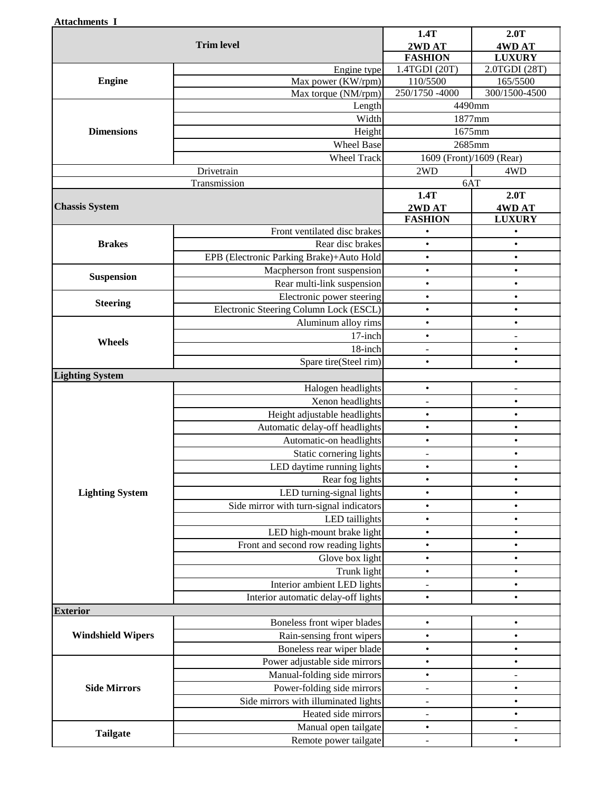| Attachments I |  |
|---------------|--|
|---------------|--|

| 1.4TGDI (20T)<br>2.0TGDI (28T)<br>Engine type<br>110/5500<br>165/5500<br><b>Engine</b><br>Max power (KW/rpm)<br>250/1750 -4000<br>300/1500-4500<br>Max torque (NM/rpm)<br>4490mm<br>Length<br>Width<br>1877mm<br>1675mm<br><b>Dimensions</b><br>Height<br><b>Wheel Base</b><br>2685mm<br><b>Wheel Track</b><br>1609 (Front)/1609 (Rear)<br>2WD<br>Drivetrain<br>4WD<br>6AT<br>Transmission<br>1.4T<br>2.0T<br><b>Chassis System</b><br>2WD AT<br><b>4WDAT</b><br><b>FASHION</b><br><b>LUXURY</b><br>Front ventilated disc brakes<br>$\bullet$<br>$\bullet$<br><b>Brakes</b><br>Rear disc brakes<br>$\bullet$<br>$\bullet$<br>EPB (Electronic Parking Brake)+Auto Hold<br>$\bullet$<br>$\bullet$<br>Macpherson front suspension<br>$\bullet$<br>$\bullet$<br><b>Suspension</b><br>Rear multi-link suspension<br>$\bullet$<br>$\bullet$<br>Electronic power steering<br>$\bullet$<br>$\bullet$<br><b>Steering</b><br>Electronic Steering Column Lock (ESCL)<br>$\bullet$<br>$\bullet$<br>Aluminum alloy rims<br>$\bullet$<br>$\bullet$<br>17-inch<br>$\bullet$<br>$\overline{a}$<br>Wheels<br>18-inch<br>$\bullet$<br>$\qquad \qquad \blacksquare$<br>Spare tire(Steel rim)<br>$\bullet$<br>$\bullet$<br><b>Lighting System</b><br>Halogen headlights<br>$\bullet$<br>$\overline{\phantom{a}}$<br>Xenon headlights<br>$\bullet$<br>Height adjustable headlights<br>$\bullet$<br>$\bullet$<br>Automatic delay-off headlights<br>$\bullet$<br>$\bullet$<br>Automatic-on headlights<br>$\bullet$<br>$\bullet$<br>Static cornering lights<br>$\bullet$<br>$\qquad \qquad \blacksquare$<br>LED daytime running lights<br>$\bullet$<br>$\bullet$<br>Rear fog lights<br>$\bullet$<br>$\bullet$<br>LED turning-signal lights<br><b>Lighting System</b><br>$\bullet$<br>$\bullet$<br>Side mirror with turn-signal indicators<br>$\bullet$<br>$\bullet$<br>LED taillights<br>$\bullet$<br>$\bullet$<br>LED high-mount brake light<br>$\bullet$<br>$\bullet$<br>Front and second row reading lights<br>$\bullet$<br>$\bullet$<br>Glove box light<br>$\bullet$<br>$\bullet$<br>Trunk light<br>$\bullet$<br>$\bullet$<br>Interior ambient LED lights<br>$\bullet$<br>Interior automatic delay-off lights<br>$\bullet$<br>$\bullet$<br><b>Exterior</b><br>Boneless front wiper blades<br>$\bullet$<br>$\bullet$<br>Rain-sensing front wipers<br><b>Windshield Wipers</b><br>$\bullet$<br>Boneless rear wiper blade<br>$\bullet$<br>$\bullet$<br>Power adjustable side mirrors<br>$\bullet$<br>$\bullet$<br>Manual-folding side mirrors<br>$\bullet$<br>Power-folding side mirrors<br><b>Side Mirrors</b><br>$\bullet$<br>$\overline{a}$<br>Side mirrors with illuminated lights<br>$\bullet$<br>$\overline{a}$<br>Heated side mirrors<br>$\bullet$<br>-<br>Manual open tailgate<br>$\bullet$<br>$\overline{\phantom{a}}$<br><b>Tailgate</b><br>Remote power tailgate<br>$\bullet$<br>$\overline{a}$ | диасшиения 1<br><b>Trim level</b> |  | 1.4T<br>2WD AT<br><b>FASHION</b> | 2.0T<br><b>4WDAT</b><br><b>LUXURY</b> |
|-------------------------------------------------------------------------------------------------------------------------------------------------------------------------------------------------------------------------------------------------------------------------------------------------------------------------------------------------------------------------------------------------------------------------------------------------------------------------------------------------------------------------------------------------------------------------------------------------------------------------------------------------------------------------------------------------------------------------------------------------------------------------------------------------------------------------------------------------------------------------------------------------------------------------------------------------------------------------------------------------------------------------------------------------------------------------------------------------------------------------------------------------------------------------------------------------------------------------------------------------------------------------------------------------------------------------------------------------------------------------------------------------------------------------------------------------------------------------------------------------------------------------------------------------------------------------------------------------------------------------------------------------------------------------------------------------------------------------------------------------------------------------------------------------------------------------------------------------------------------------------------------------------------------------------------------------------------------------------------------------------------------------------------------------------------------------------------------------------------------------------------------------------------------------------------------------------------------------------------------------------------------------------------------------------------------------------------------------------------------------------------------------------------------------------------------------------------------------------------------------------------------------------------------------------------------------------------------------------------------------------------------------------------------------------------------------------------------------------------------------------------------------------------------------------------------------------------------------------------------------------------|-----------------------------------|--|----------------------------------|---------------------------------------|
|                                                                                                                                                                                                                                                                                                                                                                                                                                                                                                                                                                                                                                                                                                                                                                                                                                                                                                                                                                                                                                                                                                                                                                                                                                                                                                                                                                                                                                                                                                                                                                                                                                                                                                                                                                                                                                                                                                                                                                                                                                                                                                                                                                                                                                                                                                                                                                                                                                                                                                                                                                                                                                                                                                                                                                                                                                                                                     |                                   |  |                                  |                                       |
|                                                                                                                                                                                                                                                                                                                                                                                                                                                                                                                                                                                                                                                                                                                                                                                                                                                                                                                                                                                                                                                                                                                                                                                                                                                                                                                                                                                                                                                                                                                                                                                                                                                                                                                                                                                                                                                                                                                                                                                                                                                                                                                                                                                                                                                                                                                                                                                                                                                                                                                                                                                                                                                                                                                                                                                                                                                                                     |                                   |  |                                  |                                       |
|                                                                                                                                                                                                                                                                                                                                                                                                                                                                                                                                                                                                                                                                                                                                                                                                                                                                                                                                                                                                                                                                                                                                                                                                                                                                                                                                                                                                                                                                                                                                                                                                                                                                                                                                                                                                                                                                                                                                                                                                                                                                                                                                                                                                                                                                                                                                                                                                                                                                                                                                                                                                                                                                                                                                                                                                                                                                                     |                                   |  |                                  |                                       |
|                                                                                                                                                                                                                                                                                                                                                                                                                                                                                                                                                                                                                                                                                                                                                                                                                                                                                                                                                                                                                                                                                                                                                                                                                                                                                                                                                                                                                                                                                                                                                                                                                                                                                                                                                                                                                                                                                                                                                                                                                                                                                                                                                                                                                                                                                                                                                                                                                                                                                                                                                                                                                                                                                                                                                                                                                                                                                     |                                   |  |                                  |                                       |
|                                                                                                                                                                                                                                                                                                                                                                                                                                                                                                                                                                                                                                                                                                                                                                                                                                                                                                                                                                                                                                                                                                                                                                                                                                                                                                                                                                                                                                                                                                                                                                                                                                                                                                                                                                                                                                                                                                                                                                                                                                                                                                                                                                                                                                                                                                                                                                                                                                                                                                                                                                                                                                                                                                                                                                                                                                                                                     |                                   |  |                                  |                                       |
|                                                                                                                                                                                                                                                                                                                                                                                                                                                                                                                                                                                                                                                                                                                                                                                                                                                                                                                                                                                                                                                                                                                                                                                                                                                                                                                                                                                                                                                                                                                                                                                                                                                                                                                                                                                                                                                                                                                                                                                                                                                                                                                                                                                                                                                                                                                                                                                                                                                                                                                                                                                                                                                                                                                                                                                                                                                                                     |                                   |  |                                  |                                       |
|                                                                                                                                                                                                                                                                                                                                                                                                                                                                                                                                                                                                                                                                                                                                                                                                                                                                                                                                                                                                                                                                                                                                                                                                                                                                                                                                                                                                                                                                                                                                                                                                                                                                                                                                                                                                                                                                                                                                                                                                                                                                                                                                                                                                                                                                                                                                                                                                                                                                                                                                                                                                                                                                                                                                                                                                                                                                                     |                                   |  |                                  |                                       |
|                                                                                                                                                                                                                                                                                                                                                                                                                                                                                                                                                                                                                                                                                                                                                                                                                                                                                                                                                                                                                                                                                                                                                                                                                                                                                                                                                                                                                                                                                                                                                                                                                                                                                                                                                                                                                                                                                                                                                                                                                                                                                                                                                                                                                                                                                                                                                                                                                                                                                                                                                                                                                                                                                                                                                                                                                                                                                     |                                   |  |                                  |                                       |
|                                                                                                                                                                                                                                                                                                                                                                                                                                                                                                                                                                                                                                                                                                                                                                                                                                                                                                                                                                                                                                                                                                                                                                                                                                                                                                                                                                                                                                                                                                                                                                                                                                                                                                                                                                                                                                                                                                                                                                                                                                                                                                                                                                                                                                                                                                                                                                                                                                                                                                                                                                                                                                                                                                                                                                                                                                                                                     |                                   |  |                                  |                                       |
|                                                                                                                                                                                                                                                                                                                                                                                                                                                                                                                                                                                                                                                                                                                                                                                                                                                                                                                                                                                                                                                                                                                                                                                                                                                                                                                                                                                                                                                                                                                                                                                                                                                                                                                                                                                                                                                                                                                                                                                                                                                                                                                                                                                                                                                                                                                                                                                                                                                                                                                                                                                                                                                                                                                                                                                                                                                                                     |                                   |  |                                  |                                       |
|                                                                                                                                                                                                                                                                                                                                                                                                                                                                                                                                                                                                                                                                                                                                                                                                                                                                                                                                                                                                                                                                                                                                                                                                                                                                                                                                                                                                                                                                                                                                                                                                                                                                                                                                                                                                                                                                                                                                                                                                                                                                                                                                                                                                                                                                                                                                                                                                                                                                                                                                                                                                                                                                                                                                                                                                                                                                                     |                                   |  |                                  |                                       |
|                                                                                                                                                                                                                                                                                                                                                                                                                                                                                                                                                                                                                                                                                                                                                                                                                                                                                                                                                                                                                                                                                                                                                                                                                                                                                                                                                                                                                                                                                                                                                                                                                                                                                                                                                                                                                                                                                                                                                                                                                                                                                                                                                                                                                                                                                                                                                                                                                                                                                                                                                                                                                                                                                                                                                                                                                                                                                     |                                   |  |                                  |                                       |
|                                                                                                                                                                                                                                                                                                                                                                                                                                                                                                                                                                                                                                                                                                                                                                                                                                                                                                                                                                                                                                                                                                                                                                                                                                                                                                                                                                                                                                                                                                                                                                                                                                                                                                                                                                                                                                                                                                                                                                                                                                                                                                                                                                                                                                                                                                                                                                                                                                                                                                                                                                                                                                                                                                                                                                                                                                                                                     |                                   |  |                                  |                                       |
|                                                                                                                                                                                                                                                                                                                                                                                                                                                                                                                                                                                                                                                                                                                                                                                                                                                                                                                                                                                                                                                                                                                                                                                                                                                                                                                                                                                                                                                                                                                                                                                                                                                                                                                                                                                                                                                                                                                                                                                                                                                                                                                                                                                                                                                                                                                                                                                                                                                                                                                                                                                                                                                                                                                                                                                                                                                                                     |                                   |  |                                  |                                       |
|                                                                                                                                                                                                                                                                                                                                                                                                                                                                                                                                                                                                                                                                                                                                                                                                                                                                                                                                                                                                                                                                                                                                                                                                                                                                                                                                                                                                                                                                                                                                                                                                                                                                                                                                                                                                                                                                                                                                                                                                                                                                                                                                                                                                                                                                                                                                                                                                                                                                                                                                                                                                                                                                                                                                                                                                                                                                                     |                                   |  |                                  |                                       |
|                                                                                                                                                                                                                                                                                                                                                                                                                                                                                                                                                                                                                                                                                                                                                                                                                                                                                                                                                                                                                                                                                                                                                                                                                                                                                                                                                                                                                                                                                                                                                                                                                                                                                                                                                                                                                                                                                                                                                                                                                                                                                                                                                                                                                                                                                                                                                                                                                                                                                                                                                                                                                                                                                                                                                                                                                                                                                     |                                   |  |                                  |                                       |
|                                                                                                                                                                                                                                                                                                                                                                                                                                                                                                                                                                                                                                                                                                                                                                                                                                                                                                                                                                                                                                                                                                                                                                                                                                                                                                                                                                                                                                                                                                                                                                                                                                                                                                                                                                                                                                                                                                                                                                                                                                                                                                                                                                                                                                                                                                                                                                                                                                                                                                                                                                                                                                                                                                                                                                                                                                                                                     |                                   |  |                                  |                                       |
|                                                                                                                                                                                                                                                                                                                                                                                                                                                                                                                                                                                                                                                                                                                                                                                                                                                                                                                                                                                                                                                                                                                                                                                                                                                                                                                                                                                                                                                                                                                                                                                                                                                                                                                                                                                                                                                                                                                                                                                                                                                                                                                                                                                                                                                                                                                                                                                                                                                                                                                                                                                                                                                                                                                                                                                                                                                                                     |                                   |  |                                  |                                       |
|                                                                                                                                                                                                                                                                                                                                                                                                                                                                                                                                                                                                                                                                                                                                                                                                                                                                                                                                                                                                                                                                                                                                                                                                                                                                                                                                                                                                                                                                                                                                                                                                                                                                                                                                                                                                                                                                                                                                                                                                                                                                                                                                                                                                                                                                                                                                                                                                                                                                                                                                                                                                                                                                                                                                                                                                                                                                                     |                                   |  |                                  |                                       |
|                                                                                                                                                                                                                                                                                                                                                                                                                                                                                                                                                                                                                                                                                                                                                                                                                                                                                                                                                                                                                                                                                                                                                                                                                                                                                                                                                                                                                                                                                                                                                                                                                                                                                                                                                                                                                                                                                                                                                                                                                                                                                                                                                                                                                                                                                                                                                                                                                                                                                                                                                                                                                                                                                                                                                                                                                                                                                     |                                   |  |                                  |                                       |
|                                                                                                                                                                                                                                                                                                                                                                                                                                                                                                                                                                                                                                                                                                                                                                                                                                                                                                                                                                                                                                                                                                                                                                                                                                                                                                                                                                                                                                                                                                                                                                                                                                                                                                                                                                                                                                                                                                                                                                                                                                                                                                                                                                                                                                                                                                                                                                                                                                                                                                                                                                                                                                                                                                                                                                                                                                                                                     |                                   |  |                                  |                                       |
|                                                                                                                                                                                                                                                                                                                                                                                                                                                                                                                                                                                                                                                                                                                                                                                                                                                                                                                                                                                                                                                                                                                                                                                                                                                                                                                                                                                                                                                                                                                                                                                                                                                                                                                                                                                                                                                                                                                                                                                                                                                                                                                                                                                                                                                                                                                                                                                                                                                                                                                                                                                                                                                                                                                                                                                                                                                                                     |                                   |  |                                  |                                       |
|                                                                                                                                                                                                                                                                                                                                                                                                                                                                                                                                                                                                                                                                                                                                                                                                                                                                                                                                                                                                                                                                                                                                                                                                                                                                                                                                                                                                                                                                                                                                                                                                                                                                                                                                                                                                                                                                                                                                                                                                                                                                                                                                                                                                                                                                                                                                                                                                                                                                                                                                                                                                                                                                                                                                                                                                                                                                                     |                                   |  |                                  |                                       |
|                                                                                                                                                                                                                                                                                                                                                                                                                                                                                                                                                                                                                                                                                                                                                                                                                                                                                                                                                                                                                                                                                                                                                                                                                                                                                                                                                                                                                                                                                                                                                                                                                                                                                                                                                                                                                                                                                                                                                                                                                                                                                                                                                                                                                                                                                                                                                                                                                                                                                                                                                                                                                                                                                                                                                                                                                                                                                     |                                   |  |                                  |                                       |
|                                                                                                                                                                                                                                                                                                                                                                                                                                                                                                                                                                                                                                                                                                                                                                                                                                                                                                                                                                                                                                                                                                                                                                                                                                                                                                                                                                                                                                                                                                                                                                                                                                                                                                                                                                                                                                                                                                                                                                                                                                                                                                                                                                                                                                                                                                                                                                                                                                                                                                                                                                                                                                                                                                                                                                                                                                                                                     |                                   |  |                                  |                                       |
|                                                                                                                                                                                                                                                                                                                                                                                                                                                                                                                                                                                                                                                                                                                                                                                                                                                                                                                                                                                                                                                                                                                                                                                                                                                                                                                                                                                                                                                                                                                                                                                                                                                                                                                                                                                                                                                                                                                                                                                                                                                                                                                                                                                                                                                                                                                                                                                                                                                                                                                                                                                                                                                                                                                                                                                                                                                                                     |                                   |  |                                  |                                       |
|                                                                                                                                                                                                                                                                                                                                                                                                                                                                                                                                                                                                                                                                                                                                                                                                                                                                                                                                                                                                                                                                                                                                                                                                                                                                                                                                                                                                                                                                                                                                                                                                                                                                                                                                                                                                                                                                                                                                                                                                                                                                                                                                                                                                                                                                                                                                                                                                                                                                                                                                                                                                                                                                                                                                                                                                                                                                                     |                                   |  |                                  |                                       |
|                                                                                                                                                                                                                                                                                                                                                                                                                                                                                                                                                                                                                                                                                                                                                                                                                                                                                                                                                                                                                                                                                                                                                                                                                                                                                                                                                                                                                                                                                                                                                                                                                                                                                                                                                                                                                                                                                                                                                                                                                                                                                                                                                                                                                                                                                                                                                                                                                                                                                                                                                                                                                                                                                                                                                                                                                                                                                     |                                   |  |                                  |                                       |
|                                                                                                                                                                                                                                                                                                                                                                                                                                                                                                                                                                                                                                                                                                                                                                                                                                                                                                                                                                                                                                                                                                                                                                                                                                                                                                                                                                                                                                                                                                                                                                                                                                                                                                                                                                                                                                                                                                                                                                                                                                                                                                                                                                                                                                                                                                                                                                                                                                                                                                                                                                                                                                                                                                                                                                                                                                                                                     |                                   |  |                                  |                                       |
|                                                                                                                                                                                                                                                                                                                                                                                                                                                                                                                                                                                                                                                                                                                                                                                                                                                                                                                                                                                                                                                                                                                                                                                                                                                                                                                                                                                                                                                                                                                                                                                                                                                                                                                                                                                                                                                                                                                                                                                                                                                                                                                                                                                                                                                                                                                                                                                                                                                                                                                                                                                                                                                                                                                                                                                                                                                                                     |                                   |  |                                  |                                       |
|                                                                                                                                                                                                                                                                                                                                                                                                                                                                                                                                                                                                                                                                                                                                                                                                                                                                                                                                                                                                                                                                                                                                                                                                                                                                                                                                                                                                                                                                                                                                                                                                                                                                                                                                                                                                                                                                                                                                                                                                                                                                                                                                                                                                                                                                                                                                                                                                                                                                                                                                                                                                                                                                                                                                                                                                                                                                                     |                                   |  |                                  |                                       |
|                                                                                                                                                                                                                                                                                                                                                                                                                                                                                                                                                                                                                                                                                                                                                                                                                                                                                                                                                                                                                                                                                                                                                                                                                                                                                                                                                                                                                                                                                                                                                                                                                                                                                                                                                                                                                                                                                                                                                                                                                                                                                                                                                                                                                                                                                                                                                                                                                                                                                                                                                                                                                                                                                                                                                                                                                                                                                     |                                   |  |                                  |                                       |
|                                                                                                                                                                                                                                                                                                                                                                                                                                                                                                                                                                                                                                                                                                                                                                                                                                                                                                                                                                                                                                                                                                                                                                                                                                                                                                                                                                                                                                                                                                                                                                                                                                                                                                                                                                                                                                                                                                                                                                                                                                                                                                                                                                                                                                                                                                                                                                                                                                                                                                                                                                                                                                                                                                                                                                                                                                                                                     |                                   |  |                                  |                                       |
|                                                                                                                                                                                                                                                                                                                                                                                                                                                                                                                                                                                                                                                                                                                                                                                                                                                                                                                                                                                                                                                                                                                                                                                                                                                                                                                                                                                                                                                                                                                                                                                                                                                                                                                                                                                                                                                                                                                                                                                                                                                                                                                                                                                                                                                                                                                                                                                                                                                                                                                                                                                                                                                                                                                                                                                                                                                                                     |                                   |  |                                  |                                       |
|                                                                                                                                                                                                                                                                                                                                                                                                                                                                                                                                                                                                                                                                                                                                                                                                                                                                                                                                                                                                                                                                                                                                                                                                                                                                                                                                                                                                                                                                                                                                                                                                                                                                                                                                                                                                                                                                                                                                                                                                                                                                                                                                                                                                                                                                                                                                                                                                                                                                                                                                                                                                                                                                                                                                                                                                                                                                                     |                                   |  |                                  |                                       |
|                                                                                                                                                                                                                                                                                                                                                                                                                                                                                                                                                                                                                                                                                                                                                                                                                                                                                                                                                                                                                                                                                                                                                                                                                                                                                                                                                                                                                                                                                                                                                                                                                                                                                                                                                                                                                                                                                                                                                                                                                                                                                                                                                                                                                                                                                                                                                                                                                                                                                                                                                                                                                                                                                                                                                                                                                                                                                     |                                   |  |                                  |                                       |
|                                                                                                                                                                                                                                                                                                                                                                                                                                                                                                                                                                                                                                                                                                                                                                                                                                                                                                                                                                                                                                                                                                                                                                                                                                                                                                                                                                                                                                                                                                                                                                                                                                                                                                                                                                                                                                                                                                                                                                                                                                                                                                                                                                                                                                                                                                                                                                                                                                                                                                                                                                                                                                                                                                                                                                                                                                                                                     |                                   |  |                                  |                                       |
|                                                                                                                                                                                                                                                                                                                                                                                                                                                                                                                                                                                                                                                                                                                                                                                                                                                                                                                                                                                                                                                                                                                                                                                                                                                                                                                                                                                                                                                                                                                                                                                                                                                                                                                                                                                                                                                                                                                                                                                                                                                                                                                                                                                                                                                                                                                                                                                                                                                                                                                                                                                                                                                                                                                                                                                                                                                                                     |                                   |  |                                  |                                       |
|                                                                                                                                                                                                                                                                                                                                                                                                                                                                                                                                                                                                                                                                                                                                                                                                                                                                                                                                                                                                                                                                                                                                                                                                                                                                                                                                                                                                                                                                                                                                                                                                                                                                                                                                                                                                                                                                                                                                                                                                                                                                                                                                                                                                                                                                                                                                                                                                                                                                                                                                                                                                                                                                                                                                                                                                                                                                                     |                                   |  |                                  |                                       |
|                                                                                                                                                                                                                                                                                                                                                                                                                                                                                                                                                                                                                                                                                                                                                                                                                                                                                                                                                                                                                                                                                                                                                                                                                                                                                                                                                                                                                                                                                                                                                                                                                                                                                                                                                                                                                                                                                                                                                                                                                                                                                                                                                                                                                                                                                                                                                                                                                                                                                                                                                                                                                                                                                                                                                                                                                                                                                     |                                   |  |                                  |                                       |
|                                                                                                                                                                                                                                                                                                                                                                                                                                                                                                                                                                                                                                                                                                                                                                                                                                                                                                                                                                                                                                                                                                                                                                                                                                                                                                                                                                                                                                                                                                                                                                                                                                                                                                                                                                                                                                                                                                                                                                                                                                                                                                                                                                                                                                                                                                                                                                                                                                                                                                                                                                                                                                                                                                                                                                                                                                                                                     |                                   |  |                                  |                                       |
|                                                                                                                                                                                                                                                                                                                                                                                                                                                                                                                                                                                                                                                                                                                                                                                                                                                                                                                                                                                                                                                                                                                                                                                                                                                                                                                                                                                                                                                                                                                                                                                                                                                                                                                                                                                                                                                                                                                                                                                                                                                                                                                                                                                                                                                                                                                                                                                                                                                                                                                                                                                                                                                                                                                                                                                                                                                                                     |                                   |  |                                  |                                       |
|                                                                                                                                                                                                                                                                                                                                                                                                                                                                                                                                                                                                                                                                                                                                                                                                                                                                                                                                                                                                                                                                                                                                                                                                                                                                                                                                                                                                                                                                                                                                                                                                                                                                                                                                                                                                                                                                                                                                                                                                                                                                                                                                                                                                                                                                                                                                                                                                                                                                                                                                                                                                                                                                                                                                                                                                                                                                                     |                                   |  |                                  |                                       |
|                                                                                                                                                                                                                                                                                                                                                                                                                                                                                                                                                                                                                                                                                                                                                                                                                                                                                                                                                                                                                                                                                                                                                                                                                                                                                                                                                                                                                                                                                                                                                                                                                                                                                                                                                                                                                                                                                                                                                                                                                                                                                                                                                                                                                                                                                                                                                                                                                                                                                                                                                                                                                                                                                                                                                                                                                                                                                     |                                   |  |                                  |                                       |
|                                                                                                                                                                                                                                                                                                                                                                                                                                                                                                                                                                                                                                                                                                                                                                                                                                                                                                                                                                                                                                                                                                                                                                                                                                                                                                                                                                                                                                                                                                                                                                                                                                                                                                                                                                                                                                                                                                                                                                                                                                                                                                                                                                                                                                                                                                                                                                                                                                                                                                                                                                                                                                                                                                                                                                                                                                                                                     |                                   |  |                                  |                                       |
|                                                                                                                                                                                                                                                                                                                                                                                                                                                                                                                                                                                                                                                                                                                                                                                                                                                                                                                                                                                                                                                                                                                                                                                                                                                                                                                                                                                                                                                                                                                                                                                                                                                                                                                                                                                                                                                                                                                                                                                                                                                                                                                                                                                                                                                                                                                                                                                                                                                                                                                                                                                                                                                                                                                                                                                                                                                                                     |                                   |  |                                  |                                       |
|                                                                                                                                                                                                                                                                                                                                                                                                                                                                                                                                                                                                                                                                                                                                                                                                                                                                                                                                                                                                                                                                                                                                                                                                                                                                                                                                                                                                                                                                                                                                                                                                                                                                                                                                                                                                                                                                                                                                                                                                                                                                                                                                                                                                                                                                                                                                                                                                                                                                                                                                                                                                                                                                                                                                                                                                                                                                                     |                                   |  |                                  |                                       |
|                                                                                                                                                                                                                                                                                                                                                                                                                                                                                                                                                                                                                                                                                                                                                                                                                                                                                                                                                                                                                                                                                                                                                                                                                                                                                                                                                                                                                                                                                                                                                                                                                                                                                                                                                                                                                                                                                                                                                                                                                                                                                                                                                                                                                                                                                                                                                                                                                                                                                                                                                                                                                                                                                                                                                                                                                                                                                     |                                   |  |                                  |                                       |
|                                                                                                                                                                                                                                                                                                                                                                                                                                                                                                                                                                                                                                                                                                                                                                                                                                                                                                                                                                                                                                                                                                                                                                                                                                                                                                                                                                                                                                                                                                                                                                                                                                                                                                                                                                                                                                                                                                                                                                                                                                                                                                                                                                                                                                                                                                                                                                                                                                                                                                                                                                                                                                                                                                                                                                                                                                                                                     |                                   |  |                                  |                                       |
|                                                                                                                                                                                                                                                                                                                                                                                                                                                                                                                                                                                                                                                                                                                                                                                                                                                                                                                                                                                                                                                                                                                                                                                                                                                                                                                                                                                                                                                                                                                                                                                                                                                                                                                                                                                                                                                                                                                                                                                                                                                                                                                                                                                                                                                                                                                                                                                                                                                                                                                                                                                                                                                                                                                                                                                                                                                                                     |                                   |  |                                  |                                       |
|                                                                                                                                                                                                                                                                                                                                                                                                                                                                                                                                                                                                                                                                                                                                                                                                                                                                                                                                                                                                                                                                                                                                                                                                                                                                                                                                                                                                                                                                                                                                                                                                                                                                                                                                                                                                                                                                                                                                                                                                                                                                                                                                                                                                                                                                                                                                                                                                                                                                                                                                                                                                                                                                                                                                                                                                                                                                                     |                                   |  |                                  |                                       |
|                                                                                                                                                                                                                                                                                                                                                                                                                                                                                                                                                                                                                                                                                                                                                                                                                                                                                                                                                                                                                                                                                                                                                                                                                                                                                                                                                                                                                                                                                                                                                                                                                                                                                                                                                                                                                                                                                                                                                                                                                                                                                                                                                                                                                                                                                                                                                                                                                                                                                                                                                                                                                                                                                                                                                                                                                                                                                     |                                   |  |                                  |                                       |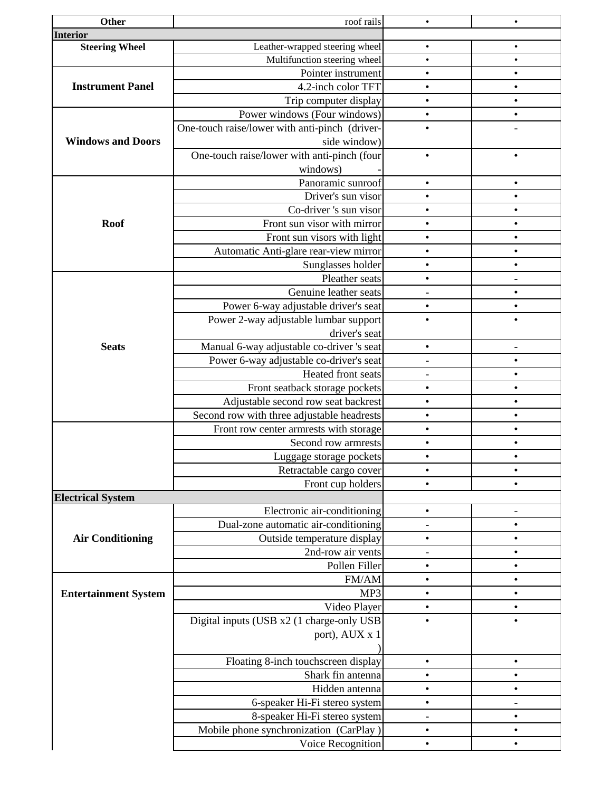| Other                       | roof rails                                     | $\bullet$                | $\bullet$ |
|-----------------------------|------------------------------------------------|--------------------------|-----------|
| <b>Interior</b>             |                                                |                          |           |
| <b>Steering Wheel</b>       | Leather-wrapped steering wheel                 | $\bullet$                | $\bullet$ |
|                             | Multifunction steering wheel                   | $\bullet$                | $\bullet$ |
|                             | Pointer instrument                             | $\bullet$                | $\bullet$ |
| <b>Instrument Panel</b>     | 4.2-inch color TFT                             | $\bullet$                | $\bullet$ |
|                             | Trip computer display                          | $\bullet$                | $\bullet$ |
|                             | Power windows (Four windows)                   | $\bullet$                | $\bullet$ |
|                             | One-touch raise/lower with anti-pinch (driver- | $\bullet$                |           |
| <b>Windows and Doors</b>    | side window)                                   |                          |           |
|                             | One-touch raise/lower with anti-pinch (four    | $\bullet$                | $\bullet$ |
|                             | windows)                                       |                          |           |
|                             | Panoramic sunroof                              | $\bullet$                | $\bullet$ |
|                             | Driver's sun visor                             | $\bullet$                | $\bullet$ |
|                             | Co-driver 's sun visor                         | $\bullet$                | $\bullet$ |
| <b>Roof</b>                 | Front sun visor with mirror                    | $\bullet$                | $\bullet$ |
|                             |                                                | $\bullet$                |           |
|                             | Front sun visors with light                    |                          | $\bullet$ |
|                             | Automatic Anti-glare rear-view mirror          | $\bullet$                | $\bullet$ |
|                             | Sunglasses holder                              | $\bullet$                | $\bullet$ |
|                             | Pleather seats                                 | $\bullet$                |           |
|                             | Genuine leather seats                          |                          | $\bullet$ |
|                             | Power 6-way adjustable driver's seat           | $\bullet$                | $\bullet$ |
|                             | Power 2-way adjustable lumbar support          | $\bullet$                | $\bullet$ |
|                             | driver's seat                                  |                          |           |
| <b>Seats</b>                | Manual 6-way adjustable co-driver 's seat      | $\bullet$                |           |
|                             | Power 6-way adjustable co-driver's seat        |                          | $\bullet$ |
|                             | Heated front seats                             |                          | $\bullet$ |
|                             | Front seatback storage pockets                 | $\bullet$                | $\bullet$ |
|                             | Adjustable second row seat backrest            | $\bullet$                | $\bullet$ |
|                             | Second row with three adjustable headrests     | $\bullet$                | $\bullet$ |
|                             | Front row center armrests with storage         | $\bullet$                | $\bullet$ |
|                             | Second row armrests                            | $\bullet$                |           |
|                             | Luggage storage pockets                        | $\bullet$                | $\bullet$ |
|                             | Retractable cargo cover                        | $\bullet$                | $\bullet$ |
|                             | Front cup holders                              | $\bullet$                | $\bullet$ |
|                             |                                                |                          |           |
| <b>Electrical System</b>    |                                                |                          |           |
|                             | Electronic air-conditioning                    | $\bullet$                |           |
|                             | Dual-zone automatic air-conditioning           | $\overline{a}$           | $\bullet$ |
| <b>Air Conditioning</b>     | Outside temperature display                    | $\bullet$                | $\bullet$ |
|                             | 2nd-row air vents                              | $\overline{\phantom{0}}$ | $\bullet$ |
|                             | Pollen Filler                                  | $\bullet$                | $\bullet$ |
|                             | FM/AM                                          | $\bullet$                | $\bullet$ |
| <b>Entertainment System</b> | MP3                                            | $\bullet$                | $\bullet$ |
|                             | Video Player                                   | $\bullet$                | $\bullet$ |
|                             | Digital inputs (USB x2 (1 charge-only USB      | $\bullet$                | $\bullet$ |
|                             | port), AUX x 1                                 |                          |           |
|                             |                                                |                          |           |
|                             | Floating 8-inch touchscreen display            | $\bullet$                | $\bullet$ |
|                             | Shark fin antenna                              | $\bullet$                | $\bullet$ |
|                             | Hidden antenna                                 | $\bullet$                | $\bullet$ |
|                             | 6-speaker Hi-Fi stereo system                  | $\bullet$                |           |
|                             | 8-speaker Hi-Fi stereo system                  | $\overline{\phantom{0}}$ | $\bullet$ |
|                             | Mobile phone synchronization (CarPlay)         | $\bullet$                | $\bullet$ |
|                             | Voice Recognition                              | $\bullet$                | $\bullet$ |
|                             |                                                |                          |           |